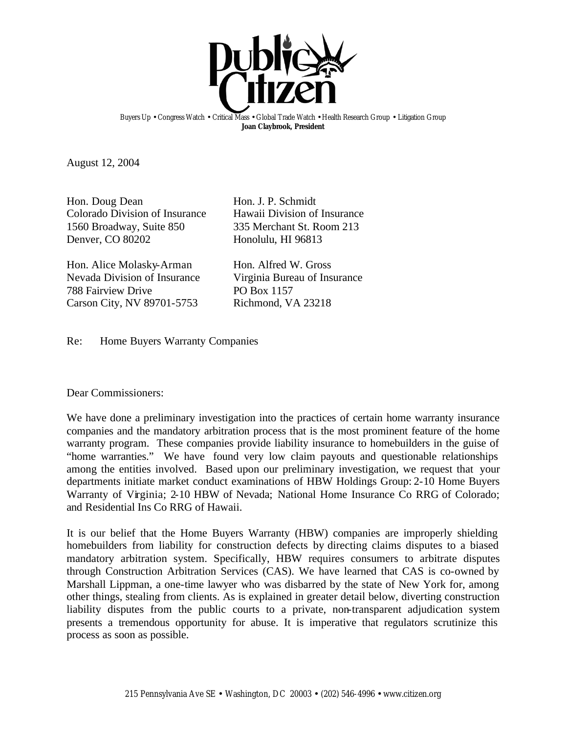

Buyers Up • Congress Watch • Critical Mass • Global Trade Watch • Health Research Group • Litigation Group **Joan Claybrook, President**

August 12, 2004

Hon. Doug Dean Hon. J. P. Schmidt Colorado Division of Insurance Hawaii Division of Insurance 1560 Broadway, Suite 850 335 Merchant St. Room 213 Denver, CO 80202 Honolulu, HI 96813

Hon. Alice Molasky-Arman Hon. Alfred W. Gross Nevada Division of Insurance Virginia Bureau of Insurance 788 Fairview Drive PO Box 1157 Carson City, NV 89701-5753 Richmond, VA 23218

Re: Home Buyers Warranty Companies

Dear Commissioners:

We have done a preliminary investigation into the practices of certain home warranty insurance companies and the mandatory arbitration process that is the most prominent feature of the home warranty program. These companies provide liability insurance to homebuilders in the guise of "home warranties." We have found very low claim payouts and questionable relationships among the entities involved. Based upon our preliminary investigation, we request that your departments initiate market conduct examinations of HBW Holdings Group: 2-10 Home Buyers Warranty of Virginia; 2-10 HBW of Nevada; National Home Insurance Co RRG of Colorado; and Residential Ins Co RRG of Hawaii.

It is our belief that the Home Buyers Warranty (HBW) companies are improperly shielding homebuilders from liability for construction defects by directing claims disputes to a biased mandatory arbitration system. Specifically, HBW requires consumers to arbitrate disputes through Construction Arbitration Services (CAS). We have learned that CAS is co-owned by Marshall Lippman, a one-time lawyer who was disbarred by the state of New York for, among other things, stealing from clients. As is explained in greater detail below, diverting construction liability disputes from the public courts to a private, non-transparent adjudication system presents a tremendous opportunity for abuse. It is imperative that regulators scrutinize this process as soon as possible.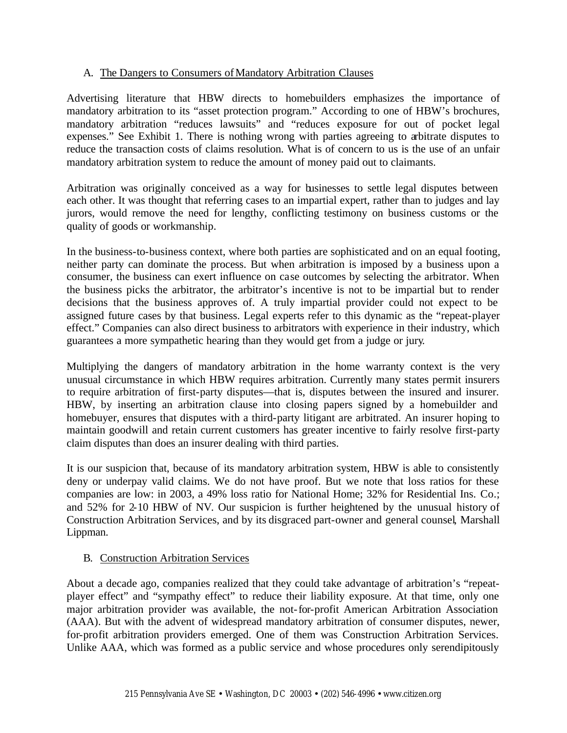## A. The Dangers to Consumers of Mandatory Arbitration Clauses

Advertising literature that HBW directs to homebuilders emphasizes the importance of mandatory arbitration to its "asset protection program." According to one of HBW's brochures, mandatory arbitration "reduces lawsuits" and "reduces exposure for out of pocket legal expenses." See Exhibit 1. There is nothing wrong with parties agreeing to arbitrate disputes to reduce the transaction costs of claims resolution. What is of concern to us is the use of an unfair mandatory arbitration system to reduce the amount of money paid out to claimants.

Arbitration was originally conceived as a way for businesses to settle legal disputes between each other. It was thought that referring cases to an impartial expert, rather than to judges and lay jurors, would remove the need for lengthy, conflicting testimony on business customs or the quality of goods or workmanship.

In the business-to-business context, where both parties are sophisticated and on an equal footing, neither party can dominate the process. But when arbitration is imposed by a business upon a consumer, the business can exert influence on case outcomes by selecting the arbitrator. When the business picks the arbitrator, the arbitrator's incentive is not to be impartial but to render decisions that the business approves of. A truly impartial provider could not expect to be assigned future cases by that business. Legal experts refer to this dynamic as the "repeat-player effect." Companies can also direct business to arbitrators with experience in their industry, which guarantees a more sympathetic hearing than they would get from a judge or jury.

Multiplying the dangers of mandatory arbitration in the home warranty context is the very unusual circumstance in which HBW requires arbitration. Currently many states permit insurers to require arbitration of first-party disputes—that is, disputes between the insured and insurer. HBW, by inserting an arbitration clause into closing papers signed by a homebuilder and homebuyer, ensures that disputes with a third-party litigant are arbitrated. An insurer hoping to maintain goodwill and retain current customers has greater incentive to fairly resolve first-party claim disputes than does an insurer dealing with third parties.

It is our suspicion that, because of its mandatory arbitration system, HBW is able to consistently deny or underpay valid claims. We do not have proof. But we note that loss ratios for these companies are low: in 2003, a 49% loss ratio for National Home; 32% for Residential Ins. Co.; and 52% for 2-10 HBW of NV. Our suspicion is further heightened by the unusual history of Construction Arbitration Services, and by its disgraced part-owner and general counsel, Marshall Lippman.

## B. Construction Arbitration Services

About a decade ago, companies realized that they could take advantage of arbitration's "repeatplayer effect" and "sympathy effect" to reduce their liability exposure. At that time, only one major arbitration provider was available, the not-for-profit American Arbitration Association (AAA). But with the advent of widespread mandatory arbitration of consumer disputes, newer, for-profit arbitration providers emerged. One of them was Construction Arbitration Services. Unlike AAA, which was formed as a public service and whose procedures only serendipitously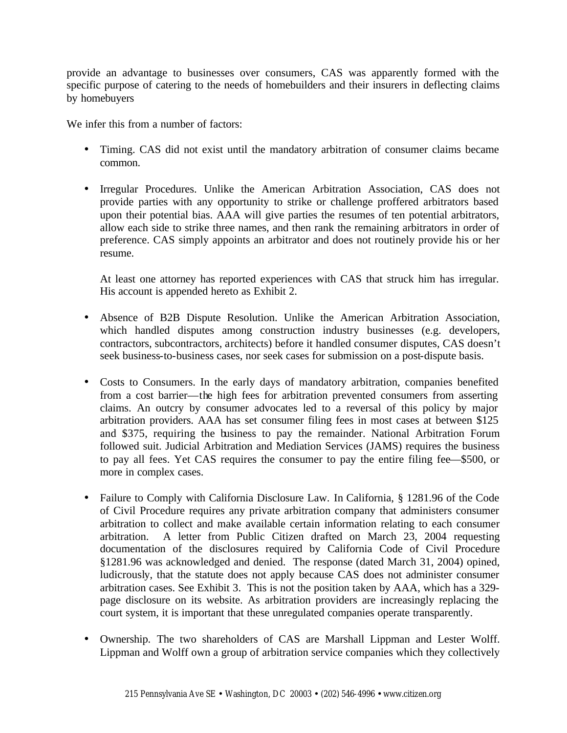provide an advantage to businesses over consumers, CAS was apparently formed with the specific purpose of catering to the needs of homebuilders and their insurers in deflecting claims by homebuyers

We infer this from a number of factors:

- Timing. CAS did not exist until the mandatory arbitration of consumer claims became common.
- Irregular Procedures. Unlike the American Arbitration Association, CAS does not provide parties with any opportunity to strike or challenge proffered arbitrators based upon their potential bias. AAA will give parties the resumes of ten potential arbitrators, allow each side to strike three names, and then rank the remaining arbitrators in order of preference. CAS simply appoints an arbitrator and does not routinely provide his or her resume.

At least one attorney has reported experiences with CAS that struck him has irregular. His account is appended hereto as Exhibit 2.

- Absence of B2B Dispute Resolution. Unlike the American Arbitration Association, which handled disputes among construction industry businesses (e.g. developers, contractors, subcontractors, architects) before it handled consumer disputes, CAS doesn't seek business-to-business cases, nor seek cases for submission on a post-dispute basis.
- Costs to Consumers. In the early days of mandatory arbitration, companies benefited from a cost barrier—the high fees for arbitration prevented consumers from asserting claims. An outcry by consumer advocates led to a reversal of this policy by major arbitration providers. AAA has set consumer filing fees in most cases at between \$125 and \$375, requiring the business to pay the remainder. National Arbitration Forum followed suit. Judicial Arbitration and Mediation Services (JAMS) requires the business to pay all fees. Yet CAS requires the consumer to pay the entire filing fee—\$500, or more in complex cases.
- Failure to Comply with California Disclosure Law. In California, § 1281.96 of the Code of Civil Procedure requires any private arbitration company that administers consumer arbitration to collect and make available certain information relating to each consumer arbitration. A letter from Public Citizen drafted on March 23, 2004 requesting documentation of the disclosures required by California Code of Civil Procedure §1281.96 was acknowledged and denied. The response (dated March 31, 2004) opined, ludicrously, that the statute does not apply because CAS does not administer consumer arbitration cases. See Exhibit 3. This is not the position taken by AAA, which has a 329 page disclosure on its website. As arbitration providers are increasingly replacing the court system, it is important that these unregulated companies operate transparently.
- Ownership. The two shareholders of CAS are Marshall Lippman and Lester Wolff. Lippman and Wolff own a group of arbitration service companies which they collectively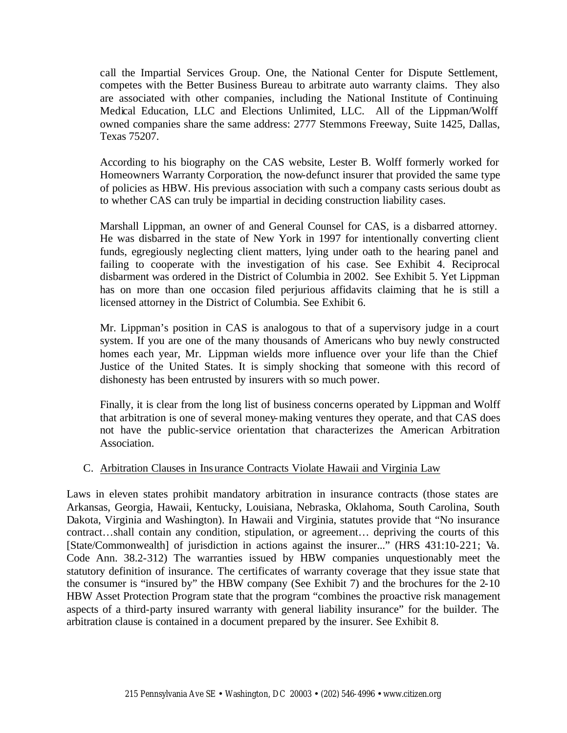call the Impartial Services Group. One, the National Center for Dispute Settlement, competes with the Better Business Bureau to arbitrate auto warranty claims. They also are associated with other companies, including the National Institute of Continuing Medical Education, LLC and Elections Unlimited, LLC. All of the Lippman/Wolff owned companies share the same address: 2777 Stemmons Freeway, Suite 1425, Dallas, Texas 75207.

According to his biography on the CAS website, Lester B. Wolff formerly worked for Homeowners Warranty Corporation, the now-defunct insurer that provided the same type of policies as HBW. His previous association with such a company casts serious doubt as to whether CAS can truly be impartial in deciding construction liability cases.

Marshall Lippman, an owner of and General Counsel for CAS, is a disbarred attorney. He was disbarred in the state of New York in 1997 for intentionally converting client funds, egregiously neglecting client matters, lying under oath to the hearing panel and failing to cooperate with the investigation of his case. See Exhibit 4. Reciprocal disbarment was ordered in the District of Columbia in 2002. See Exhibit 5. Yet Lippman has on more than one occasion filed perjurious affidavits claiming that he is still a licensed attorney in the District of Columbia. See Exhibit 6.

Mr. Lippman's position in CAS is analogous to that of a supervisory judge in a court system. If you are one of the many thousands of Americans who buy newly constructed homes each year, Mr. Lippman wields more influence over your life than the Chief Justice of the United States. It is simply shocking that someone with this record of dishonesty has been entrusted by insurers with so much power.

Finally, it is clear from the long list of business concerns operated by Lippman and Wolff that arbitration is one of several money-making ventures they operate, and that CAS does not have the public-service orientation that characterizes the American Arbitration Association.

## C. Arbitration Clauses in Insurance Contracts Violate Hawaii and Virginia Law

Laws in eleven states prohibit mandatory arbitration in insurance contracts (those states are Arkansas, Georgia, Hawaii, Kentucky, Louisiana, Nebraska, Oklahoma, South Carolina, South Dakota, Virginia and Washington). In Hawaii and Virginia, statutes provide that "No insurance contract…shall contain any condition, stipulation, or agreement… depriving the courts of this [State/Commonwealth] of jurisdiction in actions against the insurer..." (HRS 431:10-221; Va. Code Ann. 38.2-312) The warranties issued by HBW companies unquestionably meet the statutory definition of insurance. The certificates of warranty coverage that they issue state that the consumer is "insured by" the HBW company (See Exhibit 7) and the brochures for the 2-10 HBW Asset Protection Program state that the program "combines the proactive risk management aspects of a third-party insured warranty with general liability insurance" for the builder. The arbitration clause is contained in a document prepared by the insurer. See Exhibit 8.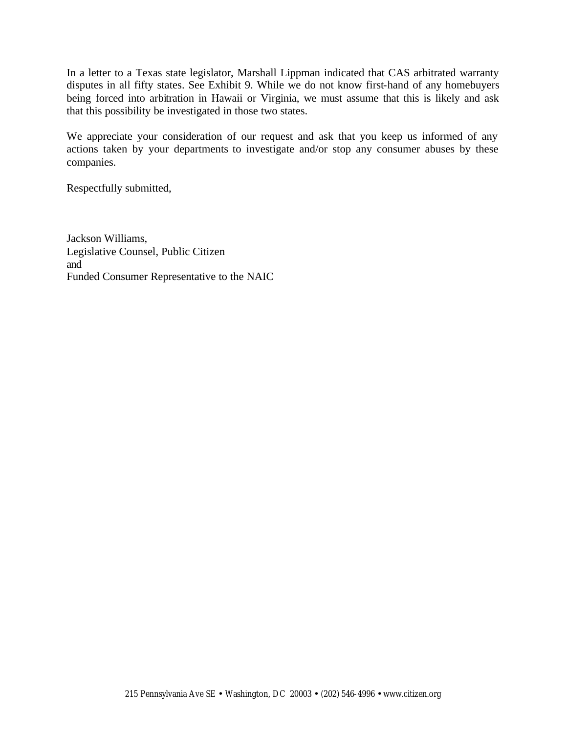In a letter to a Texas state legislator, Marshall Lippman indicated that CAS arbitrated warranty disputes in all fifty states. See Exhibit 9. While we do not know first-hand of any homebuyers being forced into arbitration in Hawaii or Virginia, we must assume that this is likely and ask that this possibility be investigated in those two states.

We appreciate your consideration of our request and ask that you keep us informed of any actions taken by your departments to investigate and/or stop any consumer abuses by these companies.

Respectfully submitted,

Jackson Williams, Legislative Counsel, Public Citizen and Funded Consumer Representative to the NAIC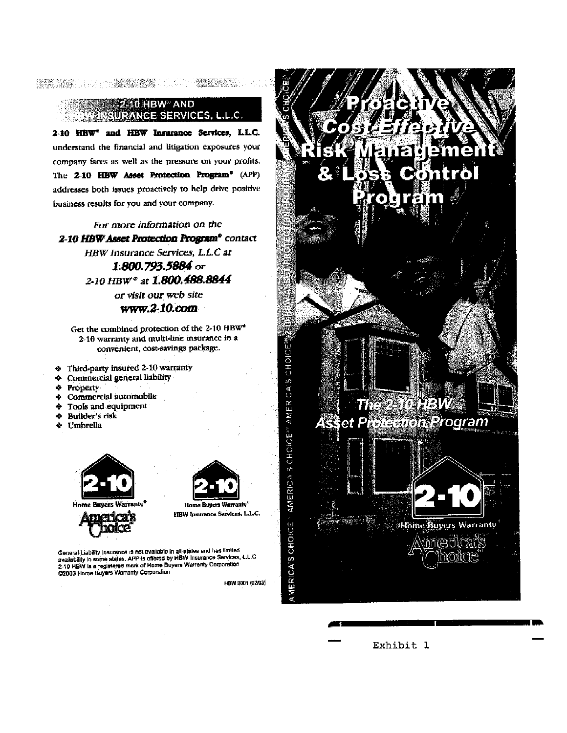## **2-10 HBW** AND SURANCE SERVICES, L.L.C.

 $\begin{minipage}[c]{0.9\textwidth} \begin{minipage}[c]{0.9\textwidth} \begin{itemize} \begin{itemize} \begin{itemize} \begin{itemize} \begin{itemize} \end{itemize} \end{itemize} \end{itemize} \end{itemize} \end{minipage} \end{minipage} \end{minipage} \end{minipage} \end{minipage} \begin{minipage}[c]{0.9\textwidth} \begin{itemize} \begin{itemize} \begin{itemize} \begin{itemize} \end{itemize} \end{itemize} \end{itemize} \end{minipage} \end{minipage} \end{minipage} \end{minipage} \begin{minipage}[c]{0.9\$ 

2-10 HBW<sup>®</sup> and HBW Insurance Services, LLC. understand the financial and litigation exposures your company faces as well as the pressure on your profits. The 2-10 HBW Asset Protection Program<sup>®</sup> (APP) addresses both issues proactively to help drive positive business results for you and your company.

## For more information on the 2-10 HBW Asset Protection Program® contact HBW Insurance Services, L.L.C at 1.800.793.5884 or 2-10 HBW<sup>\*</sup> at 1.800.488.8844 or visit our web site

#### $www.2-10.com$

Get the combined protection of the 2-10 HBW\* 2-10 warranty and multi-line insurance in a convenient, cost-savings package.

- Third-party insured 2-10 warranty
- **Commercial general liability** ۰
- $\Delta$ Property
- Commercial automobile  $\bullet$
- $\spadesuit$ Tools and equipment
- ۰ Builder's risk
- + Umbrella





General Liability insurance is not available in all states and has limited secterar claumy insurance is not available in all states and has limited<br>availability in some states, APP is offered by HBW insurance Services, L.L.C<br>2-10 HBW is a registered mark of Home Buyers Warranty Corporation<br>©2003

HBW 3001 (02/03)



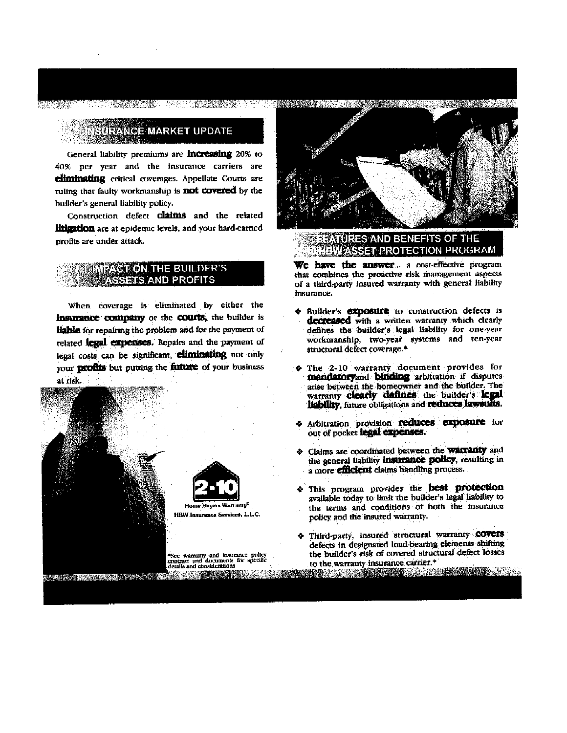## **SURANCE MARKET UPDATE**

General liability premiums are **increasing** 20% to 40% per year and the insurance carriers are climinating critical coverages. Appellate Courts are ruling that faulty workmanship is **not covered** by the builder's general liability policy.

Construction defect **claims** and the related litigation are at epidemic levels, and your hard-earned profits are under attack.

### **MEAST ON THE BUILDER'S SETS AND PROFITS**

When coverage is eliminated by either the insurance company or the courts, the builder is liable for repairing the problem and for the payment of related legal expenses. Repairs and the payment of legal costs can be significant, climinating not only your profits but putting the future of your business at risk.





**TURES AND BENEFITS OF THE MASSET PROTECTION PROGRAM** 

We have the answer... a cost-effective program that combines the proactive risk management aspects of a third-party insured warranty with general liability insurance.

- **A Builder's exposure** to construction defects is decreased with a written warranty which clearly defines the builder's legal liability for one-year workmanship, two-year systems and ten-year structural defect coverage.<sup>\*</sup>
- The 2-10 warranty document provides for mandatoryand binding arbitration if disputes arise between the homeowner and the builder. The warranty clearly defines the builder's legal liability, future obligations and reduces lawsults.
- Arbitration provision reduces exposure for out of pocket legal expenses.
- Claims are coordinated between the warranty and the general liability insurance policy, resulting in a more **efficient** claims handling process.
- This program provides the **best protection** available today to limit the builder's legal liability to the terms and conditions of both the insurance policy and the insured warranty.
- Third-party, insured structural warranty COVCIS defects in designated load-bearing elements shifting the builder's risk of covered structural defect losses to the warranty insurance carrier.\* a a compositor de constituída por construcción de compositor de compositor de la composición de compositor de<br>A composición de compositor de la composición de la composición de composición de la composición de composició

"See warranty and insurance policy<br>contract and documents for specific<br>details and considerations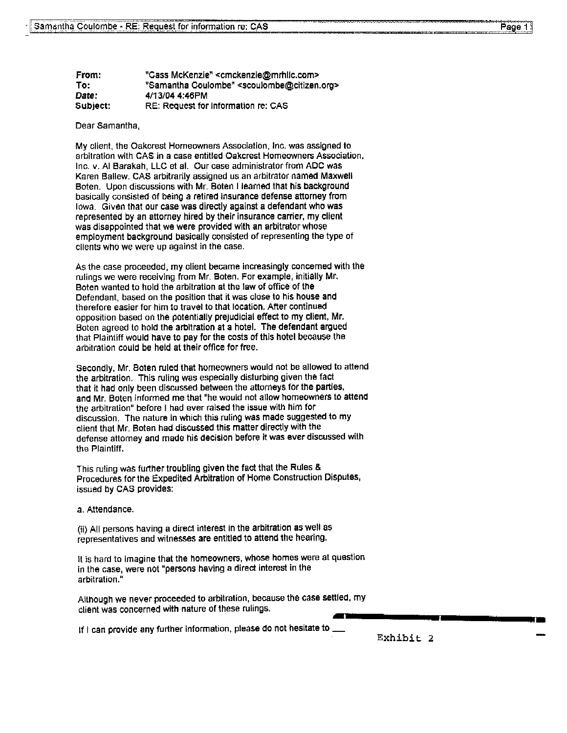| From:    | "Cass McKenzie" <cmckenzie@mrhlic.com></cmckenzie@mrhlic.com>       |
|----------|---------------------------------------------------------------------|
| To:      | "Samantha Coulombe" <scoulombe@citizen.org></scoulombe@citizen.org> |
| Date:    | 4/13/04 4:46PM                                                      |
| Subject: | RE: Request for information re: CAS                                 |

Dear Samantha,

My client, the Oakcrest Homeowners Association, Inc. was assigned to arbitration with CAS in a case entitled Oakcrest Homeowners Association, Inc. v. Al Barakah, LLC et al. Our case administrator from ADC was Karen Ballew. CAS arbitrarily assigned us an arbitrator named Maxwell Boten. Upon discussions with Mr. Boten I learned that his background basically consisted of being a retired insurance defense attorney from lowa. Given that our case was directly against a defendant who was represented by an attorney hired by their insurance carrier, my client was disappointed that we were provided with an arbitrator whose employment background basically consisted of representing the type of clients who we were up against in the case.

As the case proceeded, my client became increasingly concerned with the rulings we were receiving from Mr. Boten. For example, initially Mr. Boten wanted to hold the arbitration at the law of office of the Defendant, based on the position that it was close to his house and therefore easier for him to travel to that location. After continued opposition based on the potentially prejudicial effect to my client, Mr. Boten agreed to hold the arbitration at a hotel. The defendant argued that Plaintiff would have to pay for the costs of this hotel because the arbitration could be held at their office for free.

Secondly, Mr. Boten ruled that homeowners would not be allowed to attend the arbitration. This ruling was especially disturbing given the fact that it had only been discussed between the attorneys for the parties, and Mr. Boten informed me that "he would not allow homeowners to attend the arbitration" before I had ever raised the issue with him for discussion. The nature in which this ruling was made suggested to my client that Mr. Boten had discussed this matter directly with the defense attorney and made his decision before it was ever discussed with the Plaintiff.

This ruling was further troubling given the fact that the Rules & Procedures for the Expedited Arbitration of Home Construction Disputes, issued by CAS provides:

a. Attendance.

(ii) All persons having a direct interest in the arbitration as well as representatives and witnesses are entitled to attend the hearing.

it is hard to imagine that the homeowners, whose homes were at question in the case, were not "persons having a direct interest in the arbitration."

Although we never proceeded to arbitration, because the case settled, my client was concerned with nature of these rulings.

If I can provide any further information, please do not hesitate to \_

Exhibit 2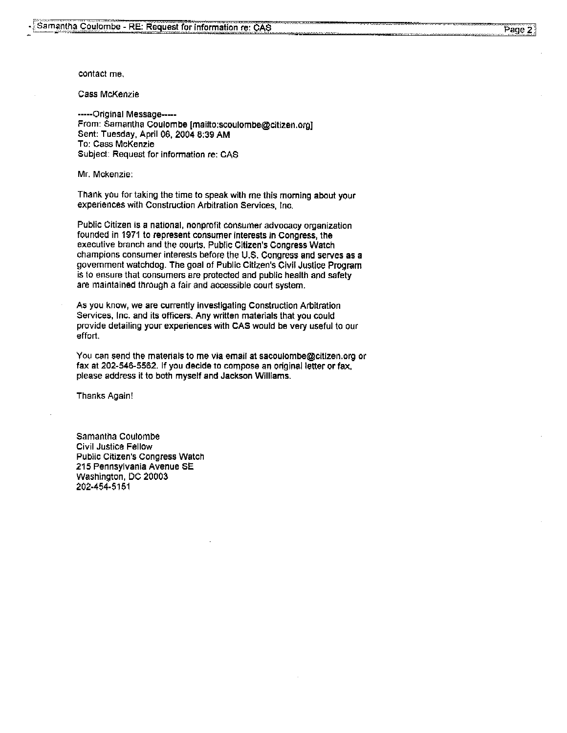contact me.

**Cass McKenzie** 

-----Original Message-----From: Samantha Coulombe [mailto:scoulombe@citizen.org] Sent: Tuesday, April 06, 2004 8:39 AM To: Cass McKenzie Subject: Request for information re: CAS

Mr. Mckenzie:

Thank you for taking the time to speak with me this morning about your experiences with Construction Arbitration Services, Inc.

Public Citizen is a national, nonprofit consumer advocacy organization founded in 1971 to represent consumer interests in Congress, the executive branch and the courts. Public Citizen's Congress Watch champions consumer interests before the U.S. Congress and serves as a government watchdog. The goal of Public Citizen's Civil Justice Program is to ensure that consumers are protected and public health and safety are maintained through a fair and accessible court system.

As you know, we are currently investigating Construction Arbitration Services, Inc. and its officers. Any written materials that you could provide detailing your experiences with CAS would be very useful to our effort.

You can send the materials to me via email at sacoulombe@citizen.org or fax at 202-546-5562. If you decide to compose an original letter or fax, please address it to both myself and Jackson Williams.

**Thanks Again!** 

Samantha Coulombe **Civil Justice Fellow Public Citizen's Congress Watch** 215 Pennsylvania Avenue SE Washington, DC 20003 202-454-5151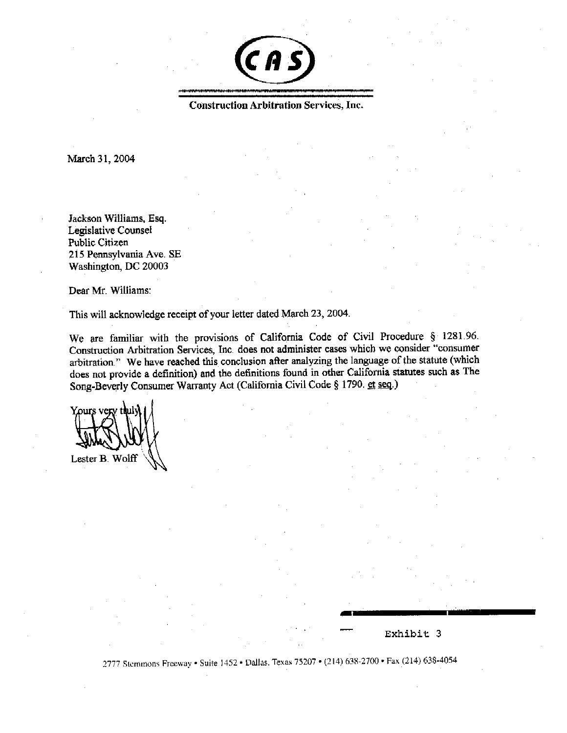

**Construction Arbitration Services, Inc.** 

March 31, 2004

Jackson Williams, Esq. Legislative Counsel Public Citizen 215 Pennsylvania Ave. SE Washington, DC 20003

Dear Mr. Williams:

This will acknowledge receipt of your letter dated March 23, 2004.

We are familiar with the provisions of California Code of Civil Procedure § 1281.96. Construction Arbitration Services, Inc. does not administer cases which we consider "consumer arbitration." We have reached this conclusion after analyzing the language of the statute (which does not provide a definition) and the definitions found in other California statutes such as The Song-Beverly Consumer Warranty Act (California Civil Code § 1790. et seq.)

Lester B. Wolff

### Exhibit 3

2777 Stemmons Freeway • Suite 1452 • Dallas, Texas 75207 • (214) 638-2700 • Fax (214) 638-4054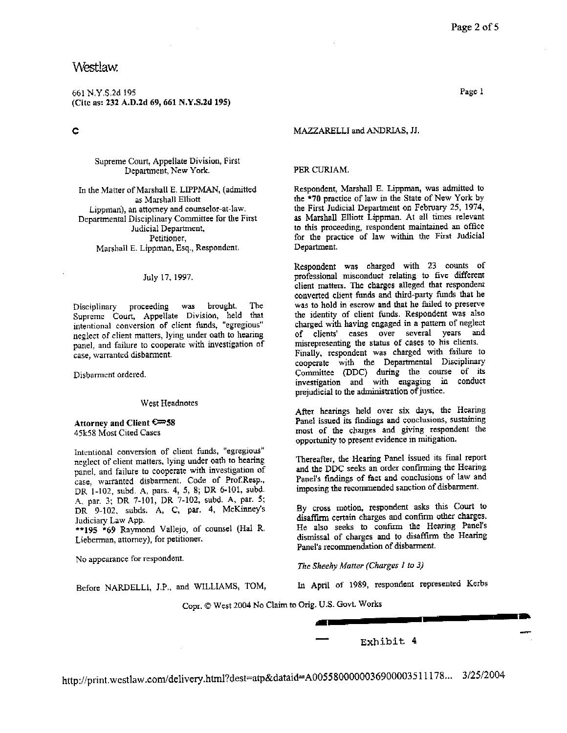## Westlaw.

661 N.Y.S.2d 195 (Cite as: 232 A.D.2d 69, 661 N.Y.S.2d 195)

¢

Supreme Court, Appellate Division, First Department, New York.

In the Matter of Marshall E. LIPPMAN, (admitted as Marshall Elliott Lippman), an attorney and counselor-at-law. Departmental Disciplinary Committee for the First Judicial Department, Petitioner, Marshall E. Lippman, Esq., Respondent.

#### July 17, 1997.

The Disciplinary proceeding was brought. Supreme Court, Appellate Division, held that intentional conversion of client funds, "egregious" neglect of client matters, lying under oath to hearing panel, and failure to cooperate with investigation of case, warranted disbarment.

Disbarment ordered.

#### West Headnotes

Attorney and Client € 58 45k58 Most Cited Cases

Intentional conversion of client funds, "egregious" neglect of client matters, lying under oath to hearing panel, and failure to cooperate with investigation of case, warranted disbarment. Code of Prof.Resp., DR 1-102, subd. A, pars. 4, 5, 8; DR 6-101, subd. A. par. 3; DR 7-101, DR 7-102, subd. A, par. 5; DR 9-102, subds. A, C, par. 4, McKinney's Judiciary Law App.

\*\*195 \*69 Raymond Vallejo, of counsel (Hal R. Lieberman, attorney), for petitioner.

No appearance for respondent.

Page 1

#### MAZZARELLI and ANDRIAS, JJ.

#### PER CURIAM.

Respondent, Marshall E. Lippman, was admitted to the \*70 practice of law in the State of New York by the First Judicial Department on February 25, 1974, as Marshall Elliott Lippman. At all times relevant to this proceeding, respondent maintained an office for the practice of law within the First Judicial Department.

Respondent was charged with 23 counts of professional misconduct relating to five different client matters. The charges alleged that respondent converted client funds and third-party funds that he was to hold in escrow and that he failed to preserve the identity of client funds. Respondent was also charged with having engaged in a pattern of neglect of clients' cases over several years and misrepresenting the status of cases to his clients. Finally, respondent was charged with failure to cooperate with the Departmental Disciplinary Committee (DDC) during the course of its investigation and with engaging in conduct prejudicial to the administration of justice.

After hearings held over six days, the Hearing Panel issued its findings and conclusions, sustaining most of the charges and giving respondent the opportunity to present evidence in mitigation.

Thereafter, the Hearing Panel issued its final report and the DDC seeks an order confirming the Hearing Panel's findings of fact and conclusions of law and imposing the recommended sanction of disbarment.

By cross motion, respondent asks this Court to disaffirm certain charges and confirm other charges. He also seeks to confirm the Hearing Panel's dismissal of charges and to disaffirm the Hearing Panel's recommendation of disbarment.

The Sheehy Matter (Charges 1 to 3)

In April of 1989, respondent represented Kerbs

Before NARDELLI, J.P., and WILLIAMS, TOM,

Copr. @ West 2004 No Claim to Orig. U.S. Govt. Works

Exhibit 4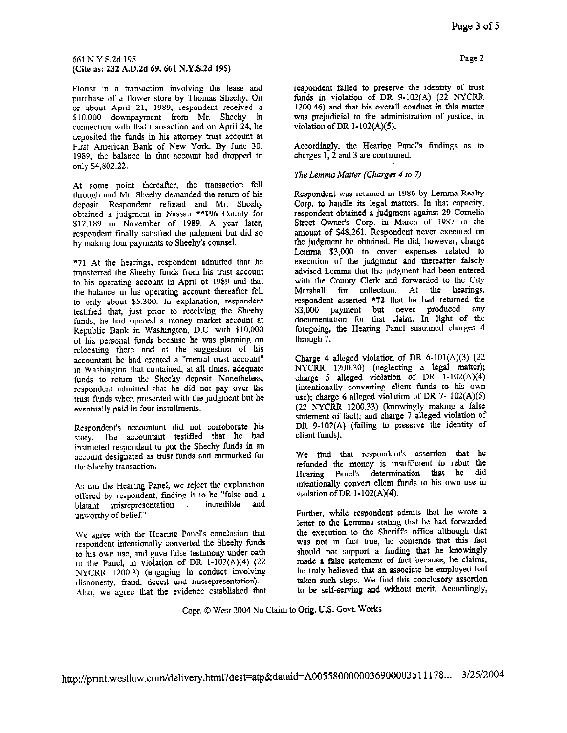#### 661 N.Y.S.2d 195 (Cite as: 232 A.D.2d 69, 661 N.Y.S.2d 195)

Florist in a transaction involving the lease and purchase of a flower store by Thomas Sheehy. On or about April 21, 1989, respondent received a \$10,000 downpayment from Mr. Sheehy in connection with that transaction and on April 24, he deposited the funds in his attorney trust account at First American Bank of New York. By June 30, 1989, the balance in that account had dropped to only \$4,802.22.

At some point thereafter, the transaction fell through and Mr. Sheehy demanded the return of his deposit. Respondent refused and Mr. Sheehy obtained a judgment in Nassau \*\* 196 County for \$12,189 in November of 1989. A year later, respondent finally satisfied the judgment but did so by making four payments to Sheehy's counsel.

\*71 At the hearings, respondent admitted that he transferred the Sheehy funds from his trust account to his operating account in April of 1989 and that the balance in his operating account thereafter fell to only about \$5,300. In explanation, respondent testified that, just prior to receiving the Sheehy funds, he had opened a money market account at Republic Bank in Washington, D.C. with \$10,000 of his personal funds because he was planning on relocating there and at the suggestion of his accountant he had created a "mental trust account" in Washington that contained, at all times, adequate funds to return the Sheehy deposit. Nonetheless, respondent admitted that he did not pay over the trust funds when presented with the judgment but he eventually paid in four installments.

Respondent's accountant did not corroborate his story. The accountant testified that he had instructed respondent to put the Sheehy funds in an account designated as trust funds and carmarked for the Sheehy transaction.

As did the Hearing Panel, we reject the explanation offered by respondent, finding it to be "false and a blatant misrcpresentation ... incredible and unworthy of belief."

We agree with the Hearing Panel's conclusion that respondent intentionally converted the Sheehy funds to his own use, and gave false testimony under oath to the Panel, in violation of DR 1-102(A)(4) (22 NYCRR 1200.3) (engaging in conduct involving dishonesty, fraud, deceit and misrepresentation). Also, we agree that the evidence established that respondent failed to preserve the identity of trust funds in violation of DR 9-102(A) (22 NYCRR 1200.46) and that his overall conduct in this matter was prejudicial to the administration of justice, in violation of DR  $1-102(A)(5)$ .

Accordingly, the Hearing Panel's findings as to charges 1, 2 and 3 are confirmed.

#### The Lemma Matter (Charges 4 to 7)

Respondent was retained in 1986 by Lemma Realty Corp. to handle its legal matters. In that capacity, respondent obtained a judgment against 29 Cornelia Street Owner's Corp. in March of 1987 in the amount of \$48,261. Respondent never executed on the judgment he obtained. He did, however, charge Lemma \$3,000 to cover expenses related to execution of the judgment and thereafter falsely advised Lemma that the judgment had been entered with the County Clerk and forwarded to the City Marshall for collection. At the hearings, respondent asserted \*72 that he had returned the \$3,000 payment but never produced any documentation for that claim. In light of the foregoing, the Hearing Panel sustained charges 4 through 7.

Charge 4 alleged violation of DR  $6-101(A)(3)$  (22 NYCRR 1200.30) (neglecting a legal matter); charge 5 alleged violation of DR  $1-102(A)(4)$ (intentionally converting client funds to his own use); charge 6 alleged violation of DR 7- 102(A)(5) (22 NYCRR 1200.33) (knowingly making a false statement of fact); and charge 7 alleged violation of DR 9-102(A) (failing to preserve the identity of client funds).

We find that respondent's assertion that he refunded the money is insufficient to rebut the Hearing Panel's determination that he did intentionally convert client funds to his own use in violation of DR  $1-102(A)(4)$ .

Further, while respondent admits that he wrote a letter to the Lemmas stating that he had forwarded the execution to the Sheriff's office although that was not in fact true, he contends that this fact should not support a finding that he knowingly made a false statement of fact because, he claims, he truly believed that an associate he employed had taken such steps. We find this conclusory assertion to be self-serving and without merit. Accordingly,

Copr. @ West 2004 No Claim to Orig. U.S. Govt. Works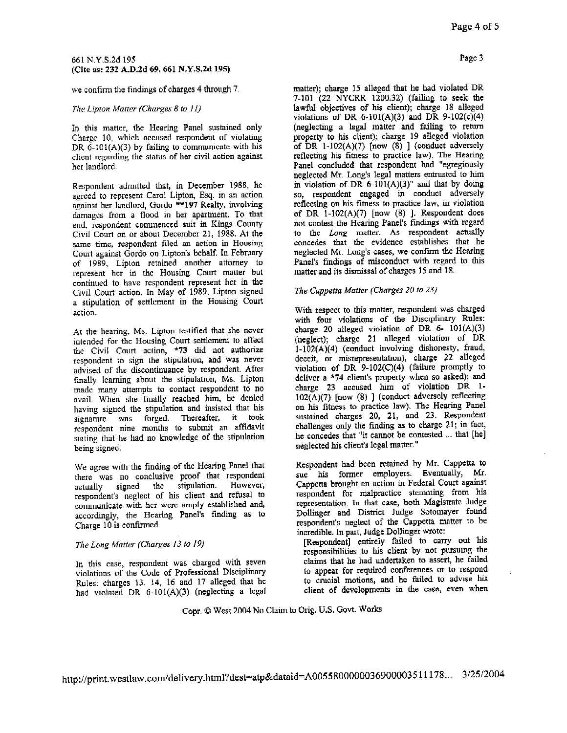#### 661 N.Y.S.2d 195 (Cite as: 232 A.D.2d 69, 661 N.Y.S.2d 195)

we confirm the findings of charges 4 through 7.

#### The Lipton Matter (Charges 8 to 11)

In this matter, the Hearing Panel sustained only Charge 10, which accused respondent of violating DR  $6-101(A)(3)$  by failing to communicate with his client regarding the status of her civil action against her landlord.

Respondent admitted that, in December 1988, he agreed to represent Carol Lipton, Esq. in an action against her landlord, Gordo \*\*197 Realty, involving damages from a flood in her apartment. To that end, respondent commenced suit in Kings County Civil Court on or about December 21, 1988. At the same time, respondent filed an action in Housing Court against Gordo on Lipton's behalf. In February of 1989, Lipton retained another attorney to represent her in the Housing Court matter but continued to have respondent represent her in the Civil Court action. In May of 1989, Lipton signed a stipulation of settlement in the Housing Court action.

At the hearing, Ms. Lipton testified that she never intended for the Housing Court settlement to affect the Civil Court action, \*73 did not authorize respondent to sign the stipulation, and was never advised of the discontinuance by respondent. After finally learning about the stipulation, Ms. Lipton made many attempts to contact respondent to no avail. When she finally reached him, he denied having signed the stipulation and insisted that his signature was forged. Thereafter, it took respondent nine months to submit an affidavit stating that he had no knowledge of the stipulation being signed.

We agree with the finding of the Hearing Panel that there was no conclusive proof that respondent signed However, the stipulation. actually respondent's neglect of his client and refusal to communicate with her were amply established and, accordingly, the Hearing Panel's finding as to Charge 10 is confirmed.

#### The Long Matter (Charges 13 to 19)

In this case, respondent was charged with seven violations of the Code of Professional Disciplinary Rules: charges 13, 14, 16 and 17 alleged that he had violated DR 6-101(A)(3) (neglecting a legal matter); charge 15 alleged that he had violated DR 7-101 (22 NYCRR 1200.32) (failing to seek the lawful objectives of his client); charge 18 alleged violations of DR 6-101(A)(3) and DR 9-102(c)(4) (neglecting a legal matter and failing to return property to his client); charge 19 alleged violation of DR  $1-102(A)(7)$  [now (8) ] (conduct adversely reflecting his fitness to practice law). The Hearing Panel concluded that respondent had "egregiously neglected Mr. Long's legal matters entrusted to him in violation of DR  $6-101(A)(3)$ " and that by doing so, respondent engaged in conduct adversely reflecting on his fitness to practice law, in violation of DR  $1-102(A)(7)$  [now (8) ]. Respondent does not contest the Hearing Panel's findings with regard to the Long matter. As respondent actually concedes that the evidence establishes that he neglected Mr. Long's cases, we confirm the Hearing Panel's findings of misconduct with regard to this matter and its dismissal of charges 15 and 18.

#### The Cappetta Matter (Charges 20 to 23)

With respect to this matter, respondent was charged with four violations of the Disciplinary Rules: charge 20 alleged violation of DR 6- 101(A)(3) (neglect); charge 21 alleged violation of DR 1-102(A)(4) (conduct involving dishonesty, fraud, deceit, or misrepresentation); charge 22 alleged violation of DR  $9-102(C)(4)$  (failure promptly to deliver a \*74 client's property when so asked); and charge 23 accused him of violation DR 1- $102(A)(7)$  [now (8) ] (conduct adversely reflecting on his fitness to practice law). The Hearing Panel sustained charges 20, 21, and 23. Respondent challenges only the finding as to charge 21; in fact, he concedes that "it cannot be contested ... that [he] neglected his client's legal matter."

Respondent had been retained by Mr. Cappetta to sue his former employers. Eventually, Mr. Cappetta brought an action in Federal Court against respondent for malpractice stemming from his representation. In that case, both Magistrate Judge Dollinger and District Judge Sotomayer found respondent's neglect of the Cappetta matter to be incredible. In part, Judge Dollinger wrote:

[Respondent] entirely failed to carry out his responsibilities to his client by not pursuing the claims that he had undertaken to assert, he failed to appear for required conferences or to respond to crucial motions, and he failed to advise his client of developments in the case, even when

#### Copr. @ West 2004 No Claim to Orig. U.S. Govt. Works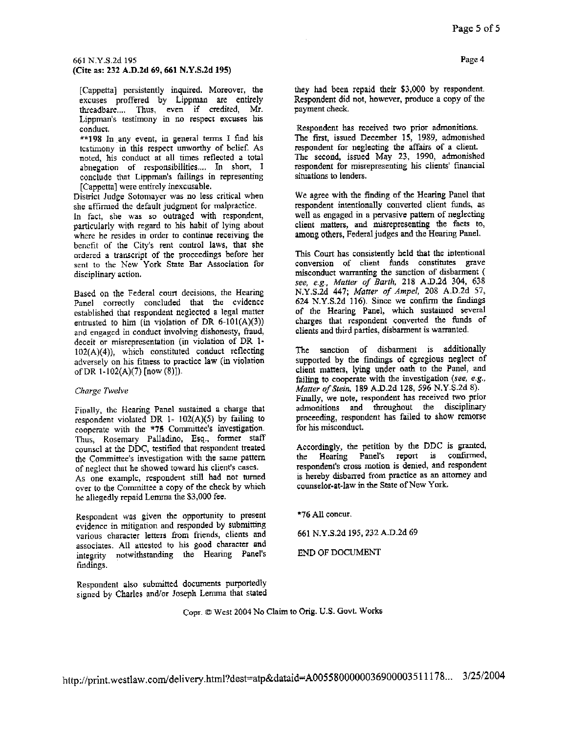#### 661 N.Y.S.2d 195 (Cite as: 232 A.D.2d 69, 661 N.Y.S.2d 195)

[Cappetta] persistently inquired. Moreover, the excuses proffered by Lippman are entirely threadbare..., Thus, even if credited, Mr. Lippman's testimony in no respect excuses his conduct.

\*\*198 In any event, in general terms I find his testimony in this respect unworthy of belief. As noted, his conduct at all times reflected a total abnegation of responsibilities.... In short, I conclude that Lippman's failings in representing [Cappetta] were entirely inexcusable.

District Judge Sotomayer was no less critical when she affirmed the default judgment for malpractice.

In fact, she was so outraged with respondent, particularly with regard to his habit of lying about where he resides in order to continue receiving the benefit of the City's rent control laws, that she ordered a transcript of the proceedings before her sent to the New York State Bar Association for disciplinary action.

Based on the Federal court decisions, the Hearing Panel correctly concluded that the evidence established that respondent neglected a legal matter entrusted to him (in violation of DR  $6-101(A)(3)$ ) and engaged in conduct involving dishonesty, fraud, deceit or misrepresentation (in violation of DR 1-102(A)(4)), which constituted conduct reflecting adversely on his fitness to practice law (in violation of DR 1-102(A)(7) [now (8)]).

#### Charge Twelve

Finally, the Hearing Panel sustained a charge that respondent violated DR 1- 102(A)(5) by failing to cooperate with the \*75 Committee's investigation. Thus, Rosemary Palladino, Esq., former staff counsel at the DDC, testified that respondent treated the Committee's investigation with the same pattern of neglect that he showed toward his client's cases. As one example, respondent still had not turned over to the Committee a copy of the check by which

he allegedly repaid Lemma the \$3,000 fee.

Respondent was given the opportunity to present evidence in mitigation and responded by submitting various character letters from friends, clients and associates. All attested to his good character and integrity notwithstanding the Hearing Panel's findings.

Respondent also submitted documents purportedly signed by Charles and/or Joseph Lemma that stated

they had been repaid their \$3,000 by respondent. Respondent did not, however, produce a copy of the payment check.

Respondent has received two prior admonitions. The first, issued December 15, 1989, admonished respondent for neglecting the affairs of a client. The second, issued May 23, 1990, admonished respondent for misrepresenting his clients' financial situations to lenders.

We agree with the finding of the Hearing Panel that respondent intentionally converted client funds, as well as engaged in a pervasive pattern of neglecting client matters, and misrepresenting the facts to, among others, Federal judges and the Hearing Panel.

This Court has consistently held that the intentional conversion of client funds constitutes grave misconduct warranting the sanction of disbarment ( see, e.g., Matter of Barth, 218 A.D.2d 304, 638 N.Y.S.2d 447; Matter of Ampel, 208 A.D.2d 57, 624 N.Y.S.2d 116). Since we confirm the findings of the Hearing Panel, which sustained several charges that respondent converted the funds of clients and third parties, disbarment is warranted.

The sanction of disbarment is additionally supported by the findings of egregious neglect of client matters, lying under oath to the Panel, and failing to cooperate with the investigation (see, e.g., Matter of Stein, 189 A.D.2d 128, 596 N.Y.S.2d 8). Finally, we note, respondent has received two prior admonitions and throughout the disciplinary proceeding, respondent has failed to show remorse for his misconduct.

Accordingly, the petition by the DDC is granted, Hearing Panel's report is confirmed, the respondent's cross motion is denied, and respondent is hereby disbarred from practice as an attorney and counselor-at-law in the State of New York.

\*76 All concur.

661 N.Y.S.2d 195, 232 A.D.2d 69

END OF DOCUMENT

Copr. @ West 2004 No Claim to Orig. U.S. Govt. Works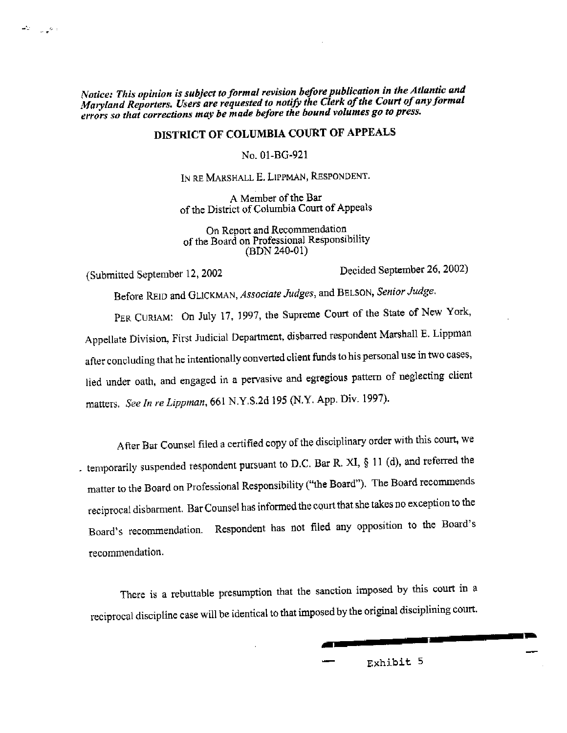Notice: This opinion is subject to formal revision before publication in the Atlantic and Maryland Reporters. Users are requested to notify the Clerk of the Court of any formal errors so that corrections may be made before the bound volumes go to press.

## DISTRICT OF COLUMBIA COURT OF APPEALS

No. 01-BG-921

IN RE MARSHALL E. LIPPMAN, RESPONDENT.

A Member of the Bar of the District of Columbia Court of Appeals

On Report and Recommendation of the Board on Professional Responsibility (BDN 240-01)

(Submitted September 12, 2002

المعيين الصد

Decided September 26, 2002)

Before REID and GLICKMAN, Associate Judges, and BELSON, Senior Judge.

PER CURIAM: On July 17, 1997, the Supreme Court of the State of New York, Appellate Division, First Judicial Department, disbarred respondent Marshall E. Lippman after concluding that he intentionally converted client funds to his personal use in two cases, lied under oath, and engaged in a pervasive and egregious pattern of neglecting client matters. See In re Lippman, 661 N.Y.S.2d 195 (N.Y. App. Div. 1997).

After Bar Counsel filed a certified copy of the disciplinary order with this court, we . temporarily suspended respondent pursuant to D.C. Bar R. XI,  $\S$  11 (d), and referred the matter to the Board on Professional Responsibility ("the Board"). The Board recommends reciprocal disbarment. Bar Counsel has informed the court that she takes no exception to the Board's recommendation. Respondent has not filed any opposition to the Board's recommendation.

There is a rebuttable presumption that the sanction imposed by this court in a reciprocal discipline case will be identical to that imposed by the original disciplining court.

Exhibit 5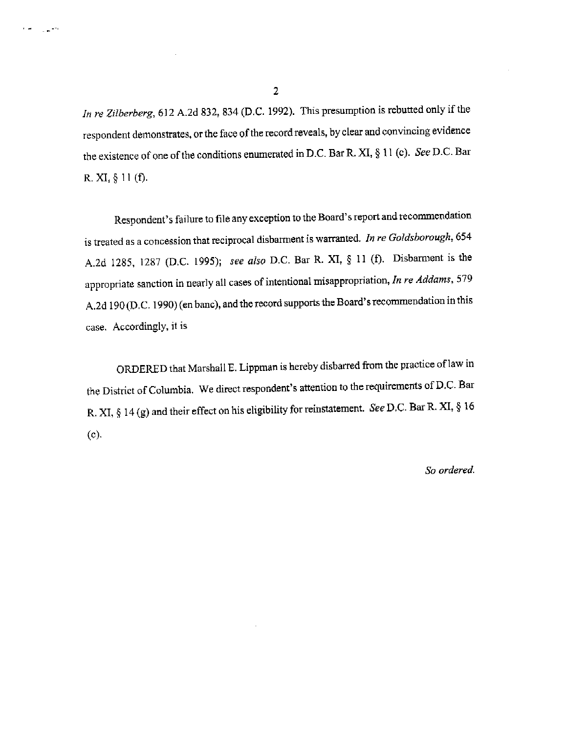In re Zilberberg, 612 A.2d 832, 834 (D.C. 1992). This presumption is rebutted only if the respondent demonstrates, or the face of the record reveals, by clear and convincing evidence the existence of one of the conditions enumerated in D.C. Bar R. XI, § 11 (c). See D.C. Bar R. XI,  $\S$  11 (f).

Respondent's failure to file any exception to the Board's report and recommendation is treated as a concession that reciprocal disbarment is warranted. In re Goldsborough, 654 A.2d 1285, 1287 (D.C. 1995); see also D.C. Bar R. XI, § 11 (f). Disbarment is the appropriate sanction in nearly all cases of intentional misappropriation, In re Addams, 579 A.2d 190 (D.C. 1990) (en banc), and the record supports the Board's recommendation in this case. Accordingly, it is

ORDERED that Marshall E. Lippman is hereby disbarred from the practice of law in the District of Columbia. We direct respondent's attention to the requirements of D.C. Bar R. XI, § 14 (g) and their effect on his eligibility for reinstatement. See D.C. Bar R. XI, § 16  $(c).$ 

So ordered.

 $\overline{\mathbf{c}}$ 

 $\ddot{\phantom{1}}$ 

 $\sim 10^{-10}$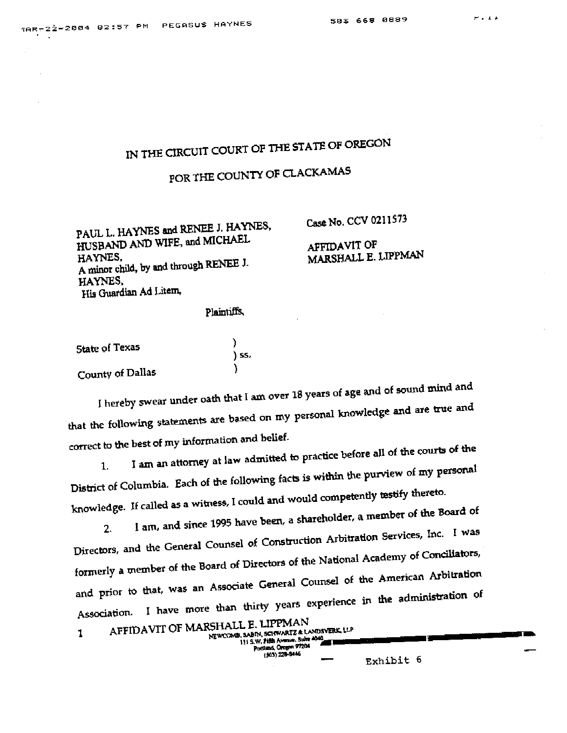# IN THE CIRCUIT COURT OF THE STATE OF OREGON

# POR THE COUNTY OF CLACKAMAS

PAUL L. HAYNES and RENEE J. HAYNES, HUSBAND AND WIFE, and MICHAEL HAYNES. A minor child, by and through RENEE J. HAYNES. His Guardian Ad Litem,

Case No. CCV 0211573

## AFFIDAVIT OF MARSHALL E. LIPPMAN

#### Plaintiffs.

| State of Texas   |       |
|------------------|-------|
|                  | ) SS. |
| County of Dallas |       |

I hereby swear under oath that I am over 18 years of age and of sound mind and that the following statements are based on my personal knowledge and are true and correct to the best of my information and belief.

I am an attorney at law admitted to practice before all of the courts of the District of Columbia. Each of the following facts is within the purview of my personal 1. knowledge. If called as a witness, I could and would competently testify thereto.

I am, and since 1995 have been, a shareholder, a member of the Board of Directors, and the General Counsel of Construction Arbitration Services, Inc. I was  $2.$ formerly a member of the Board of Directors of the National Academy of Conciliators, and prior to that, was an Associate General Counsel of the American Arbitration Association. I have more than thirty years experience in the administration of

| AFFIDAVIT OF MARSHALL E. LIPPMAN<br>NEWCOMB, SABIN, SCHWARTZ & LANDSVERK, LLP<br>111 S.W. Fifth Avenue, Buite 4040<br>Pontisod, Orogen 97204<br>(303) 228-8446 |
|----------------------------------------------------------------------------------------------------------------------------------------------------------------|
|                                                                                                                                                                |

Exhibit 6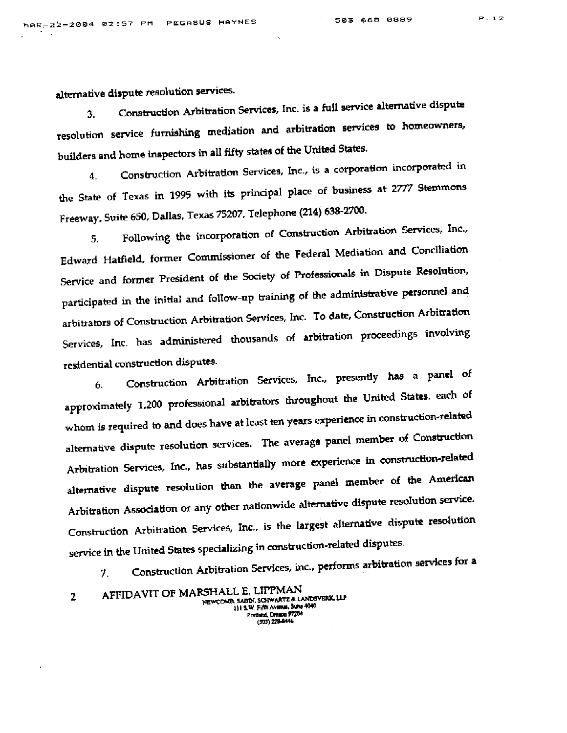alternative dispute resolution services.

Construction Arbitration Services, Inc. is a full service alternative dispute 3. resolution service furnishing mediation and arbitration services to homeowners, builders and home inspectors in all fifty states of the United States.

Construction Arbitration Services, Inc., is a corporation incorporated in 4. the State of Texas in 1995 with its principal place of business at 2777 Stemmons Freeway, Suite 650, Dallas, Texas 75207, Telephone (214) 638-2700.

Following the incorporation of Construction Arbitration Services, Inc., 5. Edward Hatfield, former Commissioner of the Federal Mediation and Conciliation Service and former President of the Society of Professionals in Dispute Resolution, participated in the initial and follow-up training of the administrative personnel and arbitrators of Construction Arbitration Services, Inc. To date, Construction Arbitration Services, Inc. has administered thousands of arbitration proceedings involving residential construction disputes.

Construction Arbitration Services, Inc., presently has a panel of 6. approximately 1,200 professional arbitrators throughout the United States, each of whom is required to and does have at least ten years experience in construction-related alternative dispute resolution services. The average panel member of Construction Arbitration Services, Inc., has substantially more experience in construction-related alternative dispute resolution than the average panel member of the American Arbitration Association or any other nationwide alternative dispute resolution service. Construction Arbitration Services, Inc., is the largest alternative dispute resolution service in the United States specializing in construction-related disputes.

Construction Arbitration Services, inc., performs arbitration services for a 7.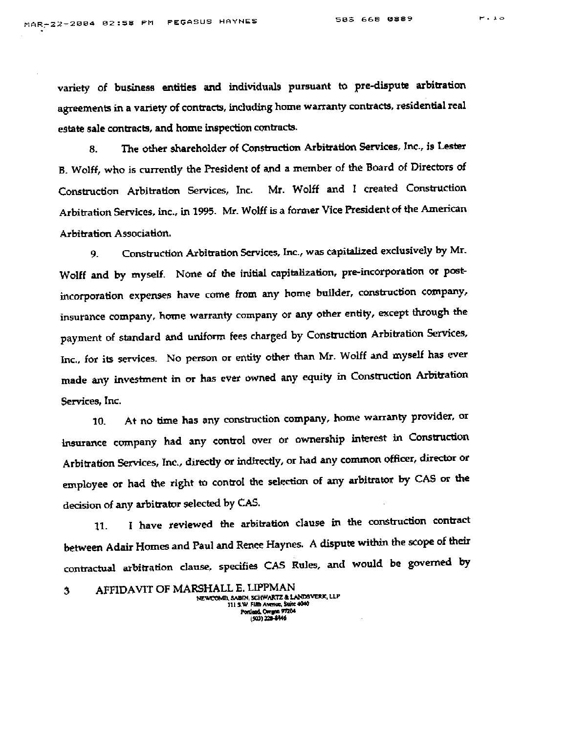variety of business entities and individuals pursuant to pre-dispute arbitration agreements in a variety of contracts, including home warranty contracts, residential real estate sale contracts, and home inspection contracts.

The other shareholder of Construction Arbitration Services, Inc., is Lester 8. B. Wolff, who is currently the President of and a member of the Board of Directors of Construction Arbitration Services, Inc. Mr. Wolff and I created Construction Arbitration Services, inc., in 1995. Mr. Wolff is a former Vice President of the American Arbitration Association.

Construction Arbitration Services, Inc., was capitalized exclusively by Mr. 9. Wolff and by myself. None of the initial capitalization, pre-incorporation or postincorporation expenses have come from any home builder, construction company, insurance company, home warranty company or any other entity, except through the payment of standard and uniform fees charged by Construction Arbitration Services, Inc., for its services. No person or entity other than Mr. Wolff and myself has ever made any investment in or has ever owned any equity in Construction Arbitration Services, Inc.

At no time has any construction company, home warranty provider, or 10. insurance company had any control over or ownership interest in Construction Arbitration Services, Inc., directly or indirectly, or had any common officer, director or employee or had the right to control the selection of any arbitrator by CAS or the decision of any arbitrator selected by CAS.

I have reviewed the arbitration clause in the construction contract 11. between Adair Homes and Paul and Renee Haynes. A dispute within the scope of their contractual arbitration clause, specifies CAS Rules, and would be governed by

AFFIDAVIT OF MARSHALL E. LIPPMAN 3 NEWCOMB, SABIN, SCHWARTZ & LANDSVERK, LLP 111 S.W. Fifth Avenue, Suite 4040 (503) 228-8446

 $P = 10$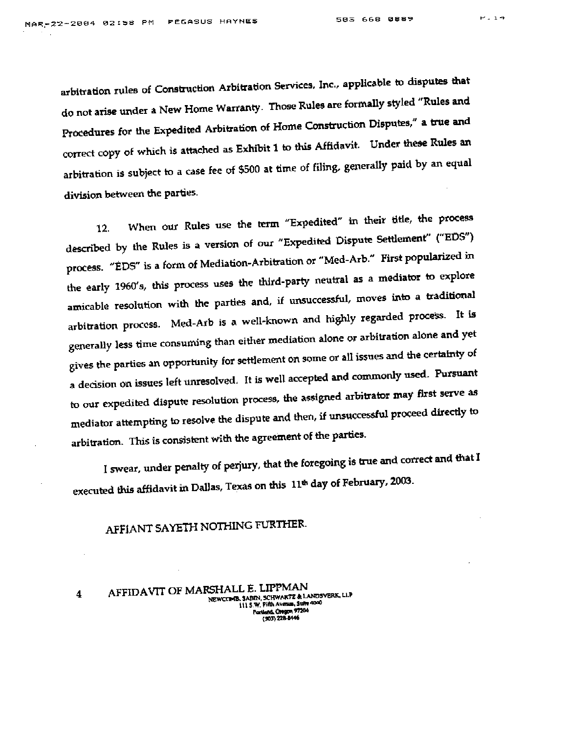arbitration rules of Construction Arbitration Services, Inc., applicable to disputes that do not arise under a New Home Warranty. Those Rules are formally styled "Rules and Procedures for the Expedited Arbitration of Home Construction Disputes," a true and correct copy of which is attached as Exhibit 1 to this Affidavit. Under these Rules an arbitration is subject to a case fee of \$500 at time of filing, generally paid by an equal division between the parties.

When our Rules use the term "Expedited" in their title, the process 12. described by the Rules is a version of our "Expedited Dispute Settlement" ("EDS") process. "EDS" is a form of Mediation-Arbitration or "Med-Arb." First popularized in the early 1960's, this process uses the third-party neutral as a mediator to explore amicable resolution with the parties and, if unsuccessful, moves into a traditional arbitration process. Med-Arb is a well-known and highly regarded process. It is generally less time consuming than either mediation alone or arbitration alone and yet gives the parties an opportunity for settlement on some or all issues and the certainty of a decision on issues left unresolved. It is well accepted and commonly used. Pursuant to our expedited dispute resolution process, the assigned arbitrator may first serve as mediator attempting to resolve the dispute and then, if unsuccessful proceed directly to arbitration. This is consistent with the agreement of the parties.

I swear, under penalty of perjury, that the foregoing is true and correct and that I executed this affidavit in Dallas, Texas on this 11<sup>th</sup> day of February, 2003.

## AFFIANT SAYETH NOTHING FURTHER.

AFFIDAVIT OF MARSHALL E. LIPPMAN 4 NEWCOMB, SABIN, SCHWARTZ & LANDSVERK, LLP 111 5 W. Pifth Avenue, Suite 4040 Portland, Oregon 97204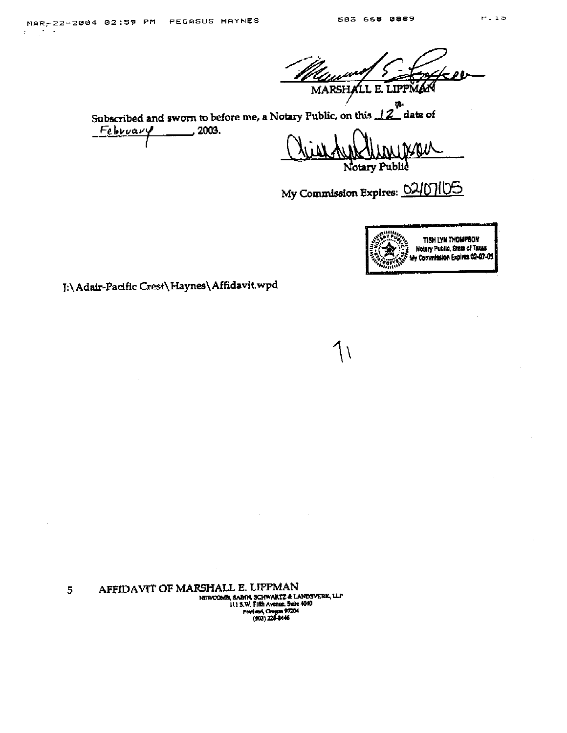$\sim$ 

MARSHALL E. LIPPM

Subscribed and sworn to before me, a Notary Public, on this  $12^{\frac{1}{2}}$ date of  $\frac{1}{2003}$ . February

otary Public Þ

My Commission Expires: 02/07/06

1١



J:\Adair-Pacific Crest\Haynes\Affidavit.wpd

AFFIDAVIT OF MARSHALL E. LIPPMAN 5 NEWCOMB, SABIN, SCHWARTZ & LANDSVERK, LLP 111 S.W. Fifth Avenue. Suite 4040<br>Portland, Oregon 97204<br>(903) 228-8446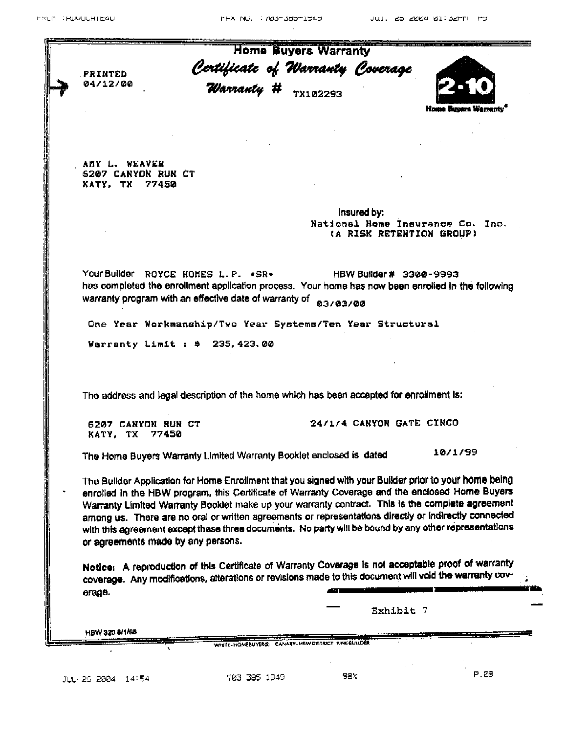|                                     |                                                                                                                                                                                                     | <b>Home Buyers Warranty</b>                                        |                                                              |  |
|-------------------------------------|-----------------------------------------------------------------------------------------------------------------------------------------------------------------------------------------------------|--------------------------------------------------------------------|--------------------------------------------------------------|--|
| PRINTED                             |                                                                                                                                                                                                     | Certificate of Warranty Coverage<br>Warranty # <sub>TX102293</sub> |                                                              |  |
| 04/12/00                            |                                                                                                                                                                                                     |                                                                    |                                                              |  |
|                                     |                                                                                                                                                                                                     |                                                                    | luwara Warrantv                                              |  |
|                                     |                                                                                                                                                                                                     |                                                                    |                                                              |  |
|                                     |                                                                                                                                                                                                     |                                                                    |                                                              |  |
| ANY L. WEAVER<br>6207 CANYON RUN CT |                                                                                                                                                                                                     |                                                                    |                                                              |  |
| KATY, TX 77450                      |                                                                                                                                                                                                     |                                                                    |                                                              |  |
|                                     |                                                                                                                                                                                                     | insured by:                                                        |                                                              |  |
|                                     |                                                                                                                                                                                                     |                                                                    | National Home Insurance Co. Inc.<br>(A RISK RETENTION GROUP) |  |
|                                     |                                                                                                                                                                                                     |                                                                    |                                                              |  |
|                                     | Your Builder ROYCE HOMES L. P. +SR+                                                                                                                                                                 |                                                                    | HBW Builder # 3300-9993                                      |  |
|                                     | has completed the enrollment application process. Your home has now been enrolled in the following                                                                                                  |                                                                    |                                                              |  |
|                                     | warranty program with an effective date of warranty of                                                                                                                                              | 03/03/00                                                           |                                                              |  |
|                                     | One Year Workmanship/Two Year Systems/Ten Year Structural                                                                                                                                           |                                                                    |                                                              |  |
|                                     | Warranty Limit : # 235, 423.00                                                                                                                                                                      |                                                                    |                                                              |  |
|                                     |                                                                                                                                                                                                     |                                                                    |                                                              |  |
|                                     |                                                                                                                                                                                                     |                                                                    |                                                              |  |
|                                     | The address and legal description of the home which has been accepted for enrollment is:                                                                                                            |                                                                    |                                                              |  |
| 6207 CANYON RUN CT                  |                                                                                                                                                                                                     |                                                                    | 24/1/4 CANYON GATE CINCO                                     |  |
| KATY, TX                            | 77450                                                                                                                                                                                               |                                                                    |                                                              |  |
|                                     | The Home Buyers Warranty Limited Warranty Booklet enclosed is dated                                                                                                                                 |                                                                    | 10/1/99                                                      |  |
|                                     | The Builder Application for Home Enrollment that you signed with your Builder prior to your home being                                                                                              |                                                                    |                                                              |  |
|                                     | enrolled in the HBW program, this Certificate of Warranty Coverage and the enclosed Home Buyers<br>Warranty Limited Warranty Booklet make up your warranty contract. This is the complete agreement |                                                                    |                                                              |  |
|                                     | among us. There are no oral or written agreements or representations directly or indirectly connected                                                                                               |                                                                    |                                                              |  |
|                                     | with this agreement except these three documents. No party will be bound by any other representations                                                                                               |                                                                    |                                                              |  |
|                                     | or agreements made by any persons.                                                                                                                                                                  |                                                                    |                                                              |  |
|                                     | Notice: A reproduction of this Certificate of Warranty Coverage is not acceptable proof of warranty                                                                                                 |                                                                    |                                                              |  |
| erage.                              | coverage. Any modifications, alterations or revisions made to this document will void the warranty cov-                                                                                             |                                                                    |                                                              |  |
|                                     |                                                                                                                                                                                                     |                                                                    | Exhibit 7                                                    |  |
|                                     |                                                                                                                                                                                                     |                                                                    |                                                              |  |
| HBW 320 6/1/88                      |                                                                                                                                                                                                     |                                                                    |                                                              |  |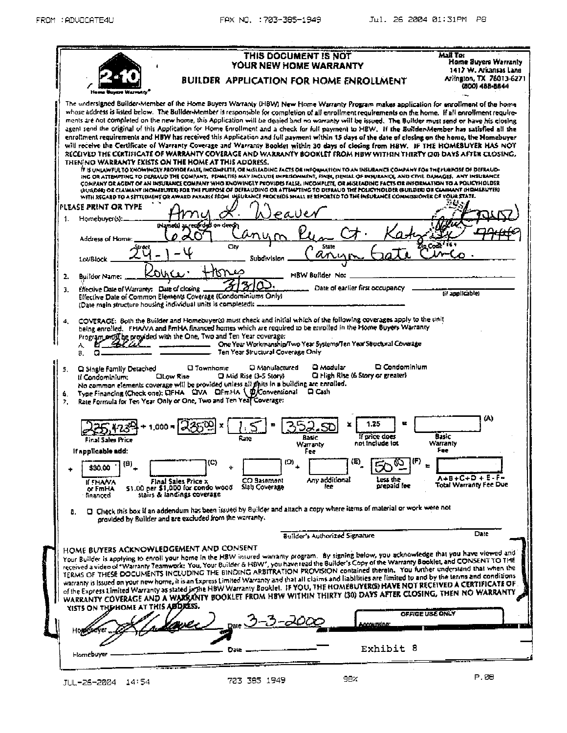| THIS DOCUMENT IS NOT                                                                                                                                                                                                                                                                                                                                                                                                                                                                                                                                                                                                                                                                                                                                                                                                                                                                                                                                                                                                                                                                                                                                                                                                                                                                                                                                                                                                                                                                                                                                                                                                                                                      | Mali Tor<br>Home Buyers Warranty                    |
|---------------------------------------------------------------------------------------------------------------------------------------------------------------------------------------------------------------------------------------------------------------------------------------------------------------------------------------------------------------------------------------------------------------------------------------------------------------------------------------------------------------------------------------------------------------------------------------------------------------------------------------------------------------------------------------------------------------------------------------------------------------------------------------------------------------------------------------------------------------------------------------------------------------------------------------------------------------------------------------------------------------------------------------------------------------------------------------------------------------------------------------------------------------------------------------------------------------------------------------------------------------------------------------------------------------------------------------------------------------------------------------------------------------------------------------------------------------------------------------------------------------------------------------------------------------------------------------------------------------------------------------------------------------------------|-----------------------------------------------------|
| YOUR NEW HOME WARRANTY<br>BUILDER APPLICATION FOR HOME ENROLLMENT                                                                                                                                                                                                                                                                                                                                                                                                                                                                                                                                                                                                                                                                                                                                                                                                                                                                                                                                                                                                                                                                                                                                                                                                                                                                                                                                                                                                                                                                                                                                                                                                         | 1417 W. Arkansas Lane<br>Arlington, TX 76013-6271   |
|                                                                                                                                                                                                                                                                                                                                                                                                                                                                                                                                                                                                                                                                                                                                                                                                                                                                                                                                                                                                                                                                                                                                                                                                                                                                                                                                                                                                                                                                                                                                                                                                                                                                           | (B(X)) 488-8844                                     |
| The undersigned Builder-Member of the Home Buyers Warranty (HBW) New Home Warranty Program makes application for enrollment of the home<br>whose address is listed below. The Builder-Member is responsible for completion of all enrollment requirements on the home. If all enrollment require-<br>ments are not completed on the new home, this Application will be denied and no warranty will be issued. The Builder must send or have his closing<br>agent send the original of this Application for Home Enrollment and a check for full payment to HBW. If the Builder-Member has satisfied all the<br>enrollment requirements and HBW has received this Application and full payment within 15 days of the date of closing on the home, the Momebuyer<br>will receive the Certificate of Warranty Coverage and Warranty Booklet within 30 days of closing from HBW. IF THE HOMEBUYER HAS NOT<br>RECEIVED THE CERTIFICATE OF WARRANTY COVERAGE AND WARRANTY BOOKLET FROM HBW WITHIN THIRTY (30) DAYS AFTER CLOSING,<br>THEN NO WARRANTY EXISTS ON THE HOME AT THIS ADDRESS.<br>IT IS UNLAWFUL TO KNOWINGLY PROVIDE FALSE, INCOMPLITE, OR MISLEADING FACTS OR INFORMATION TO AN INSURANCE COMPANY FOR THE PURPOSE OF DEFRAUD-<br>ING OR ATTEMPTING TO DEFRAUD THE COMPANY, PENALTIES MAY INGLUDE IMPRISONMENT, FINES, DENIAL OF INSURANCE, AND CIVIL DAMAGES. ANY INSURANCE<br>COMPANY OR AGINT OF AN INSURANCE COMPANY WHO KNOWINGLY PEOVIDES FALSE. INCOMPLETE, OR MISLEADING FACTS OR INFORMATION TO A POLICYHOLDER<br>GUILDED OE CLAIMANT INOMEDITER FOR THE FURFOSE OF DEFRAUDING OR ATTEMPTING TO DEFRAUD THE FOLICYHOLDER (SUILDER) OR CLAIMANT (HOMERLYER) |                                                     |
| WITH REGARD TO A SETTLEMENT OR AWARD PAYABLE FROM INSURANCE PROCEEDS SHALL BE REPORTED TO THE INSURANCE COMMISSIONER CF VOUR STATE.                                                                                                                                                                                                                                                                                                                                                                                                                                                                                                                                                                                                                                                                                                                                                                                                                                                                                                                                                                                                                                                                                                                                                                                                                                                                                                                                                                                                                                                                                                                                       |                                                     |
| IPLEASE PRINT OR TYPE                                                                                                                                                                                                                                                                                                                                                                                                                                                                                                                                                                                                                                                                                                                                                                                                                                                                                                                                                                                                                                                                                                                                                                                                                                                                                                                                                                                                                                                                                                                                                                                                                                                     |                                                     |
| Homebuyer(s):_<br>$1$ .<br>thiamots) as recorded on deeds                                                                                                                                                                                                                                                                                                                                                                                                                                                                                                                                                                                                                                                                                                                                                                                                                                                                                                                                                                                                                                                                                                                                                                                                                                                                                                                                                                                                                                                                                                                                                                                                                 |                                                     |
| Address of Home:                                                                                                                                                                                                                                                                                                                                                                                                                                                                                                                                                                                                                                                                                                                                                                                                                                                                                                                                                                                                                                                                                                                                                                                                                                                                                                                                                                                                                                                                                                                                                                                                                                                          |                                                     |
| City<br>State                                                                                                                                                                                                                                                                                                                                                                                                                                                                                                                                                                                                                                                                                                                                                                                                                                                                                                                                                                                                                                                                                                                                                                                                                                                                                                                                                                                                                                                                                                                                                                                                                                                             |                                                     |
| Subdivision<br><b>LovBlock</b>                                                                                                                                                                                                                                                                                                                                                                                                                                                                                                                                                                                                                                                                                                                                                                                                                                                                                                                                                                                                                                                                                                                                                                                                                                                                                                                                                                                                                                                                                                                                                                                                                                            |                                                     |
| ふいく                                                                                                                                                                                                                                                                                                                                                                                                                                                                                                                                                                                                                                                                                                                                                                                                                                                                                                                                                                                                                                                                                                                                                                                                                                                                                                                                                                                                                                                                                                                                                                                                                                                                       |                                                     |
| HBW Builder No:<br>2.<br>Builder Name:                                                                                                                                                                                                                                                                                                                                                                                                                                                                                                                                                                                                                                                                                                                                                                                                                                                                                                                                                                                                                                                                                                                                                                                                                                                                                                                                                                                                                                                                                                                                                                                                                                    |                                                     |
| Date of earlier first occupancy<br>Effective Date of Warranty: Date of closing.<br>3.<br>Effective Date of Common Elements Coverage (Condominiums Only)<br>(Date main structure housing individual units is completed): _                                                                                                                                                                                                                                                                                                                                                                                                                                                                                                                                                                                                                                                                                                                                                                                                                                                                                                                                                                                                                                                                                                                                                                                                                                                                                                                                                                                                                                                 | (if acolicable)                                     |
| Program on SI be provided with the One. Two and Ten Year coverage:<br>One Year Workmanship/Two Year Systems/Ten Year Structural Coverage<br>Α.<br>Ten Year Structural Coverage Only<br>В.<br>D Modular<br>□ Condominium<br><b>U</b> Townhome<br><b>Q</b> Manufactured<br>Ci Single Family Detached<br>5.<br><b>Q</b> Fligh Rise (6 Story or greater)<br>$\square$ Mid Rise (3-5 Story).<br>CILOW Rise<br>tí Condominium:<br>No common elements coverage will be provided unless all thits in a building are enrolled.<br>Type Financing (Check one): OFHA CIVA GEmHA \ @/Conventional<br>口 Cash<br>6.<br>Rate Formula for Ten Year Only or One, Two and Ten Year Coverage:<br>7.                                                                                                                                                                                                                                                                                                                                                                                                                                                                                                                                                                                                                                                                                                                                                                                                                                                                                                                                                                                          |                                                     |
| 1.25<br>If price does<br>Rasic<br>Rate<br>Final Sales Price<br>not include lot<br>Warranty<br>if applicable add:<br>Fee                                                                                                                                                                                                                                                                                                                                                                                                                                                                                                                                                                                                                                                                                                                                                                                                                                                                                                                                                                                                                                                                                                                                                                                                                                                                                                                                                                                                                                                                                                                                                   | (A)<br>Basic<br>Warranty<br>Fee                     |
| (F)<br>(E)<br>$\left( \mathsf{O}\right) _{+}$<br>(C)<br>$\stackrel{(B)}=$<br>\$30.00                                                                                                                                                                                                                                                                                                                                                                                                                                                                                                                                                                                                                                                                                                                                                                                                                                                                                                                                                                                                                                                                                                                                                                                                                                                                                                                                                                                                                                                                                                                                                                                      |                                                     |
| Any additional<br>CO Sasement<br>Less the<br><b>Final Sales Price x</b><br><b>ICEMANA</b><br>prepaid foe<br>Slab Coverage<br>foe<br>\$1.00 per \$1,000 for condo wood<br>or FmHA<br>stairs & landings coverage<br>financed                                                                                                                                                                                                                                                                                                                                                                                                                                                                                                                                                                                                                                                                                                                                                                                                                                                                                                                                                                                                                                                                                                                                                                                                                                                                                                                                                                                                                                                | $A + B + C + D + E - F -$<br>Total Warranty Fee Due |
| O Check this box if an addendum has been issued by Builder and altach a copy where items of material or work were not<br>۵.<br>provided by Builder and are excluded from the warranty.                                                                                                                                                                                                                                                                                                                                                                                                                                                                                                                                                                                                                                                                                                                                                                                                                                                                                                                                                                                                                                                                                                                                                                                                                                                                                                                                                                                                                                                                                    |                                                     |
| <b>Builder's Authorized Signature</b>                                                                                                                                                                                                                                                                                                                                                                                                                                                                                                                                                                                                                                                                                                                                                                                                                                                                                                                                                                                                                                                                                                                                                                                                                                                                                                                                                                                                                                                                                                                                                                                                                                     | Date                                                |
| HOME BUYERS ACKNOWLEDGEMENT AND CONSENT<br>Your Builder is applying to enroll your home in the HBW insured warranty program. By signing below, you acknowledge that you have viewed and<br>received a video of "Warranty Teamwork: You, Your Builder & HBW", you have read the Builder's Copy of the Warranty Booklet, and CONSENT TO THE<br>TERMS OF THESE DOCUMENTS INCLUDING THE BINDING ARBITRATION PROVISION contained therein. You further understand that when the<br>warranty is issued on your new home, it is an Express Limited Warranty and that all claims and liabilities are limited to and by the terms and conditions<br>of the Express Limited Warranty as stated in the HBW Warranty Booklet. IF YOU, THE HOMEBUYERG) HAVE NOT RECEIVED A CERTIFICATE OF<br>WARRANTY COVERAGE AND A WARRANTY BOOKLET FROM HBW WITHIN THIRTY (30) DAYS AFTER CLOSING, THEN NO WARRANTY                                                                                                                                                                                                                                                                                                                                                                                                                                                                                                                                                                                                                                                                                                                                                                                  |                                                     |
| YISTS ON THE HOME AT THIS ABDRESS.                                                                                                                                                                                                                                                                                                                                                                                                                                                                                                                                                                                                                                                                                                                                                                                                                                                                                                                                                                                                                                                                                                                                                                                                                                                                                                                                                                                                                                                                                                                                                                                                                                        | OFFICE USE ONLY                                     |
| <u>Accountino:</u><br>нопособуе                                                                                                                                                                                                                                                                                                                                                                                                                                                                                                                                                                                                                                                                                                                                                                                                                                                                                                                                                                                                                                                                                                                                                                                                                                                                                                                                                                                                                                                                                                                                                                                                                                           |                                                     |
| Exhibit 8                                                                                                                                                                                                                                                                                                                                                                                                                                                                                                                                                                                                                                                                                                                                                                                                                                                                                                                                                                                                                                                                                                                                                                                                                                                                                                                                                                                                                                                                                                                                                                                                                                                                 |                                                     |
| Date<br>Homebuyer                                                                                                                                                                                                                                                                                                                                                                                                                                                                                                                                                                                                                                                                                                                                                                                                                                                                                                                                                                                                                                                                                                                                                                                                                                                                                                                                                                                                                                                                                                                                                                                                                                                         |                                                     |
| 98%<br>703 385 1949<br>14:54<br>JUL-26-2004.                                                                                                                                                                                                                                                                                                                                                                                                                                                                                                                                                                                                                                                                                                                                                                                                                                                                                                                                                                                                                                                                                                                                                                                                                                                                                                                                                                                                                                                                                                                                                                                                                              | P.08                                                |